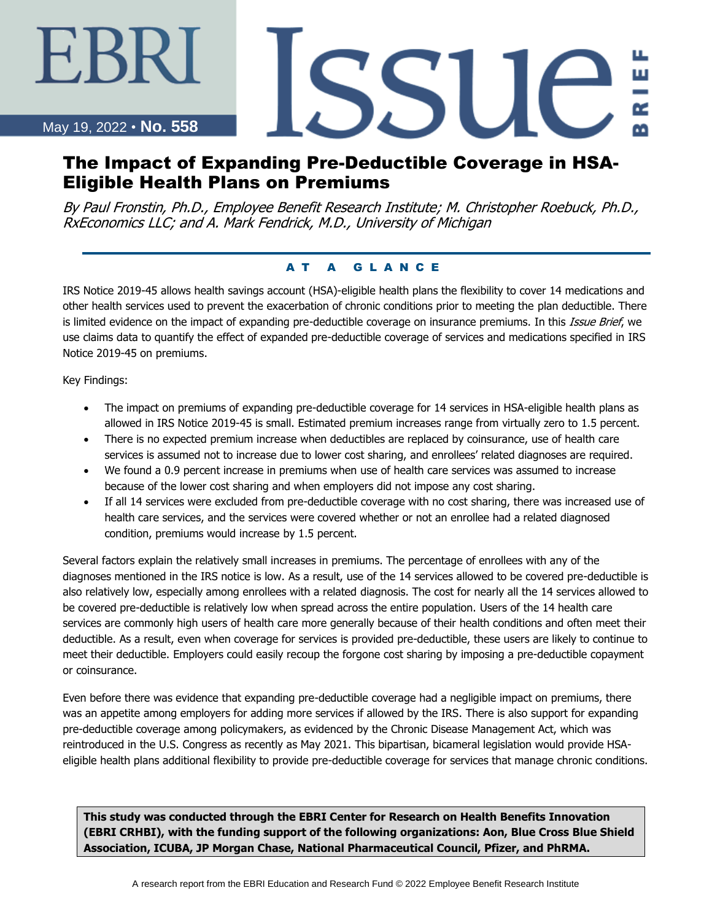#### May 19, 2022 • **No. 558**

∹BRT

# SSU( ш

# The Impact of Expanding Pre-Deductible Coverage in HSA-Eligible Health Plans on Premiums

By Paul Fronstin, Ph.D., Employee Benefit Research Institute; M. Christopher Roebuck, Ph.D., RxEconomics LLC; and A. Mark Fendrick, M.D., University of Michigan

#### AT A GLANCE

IRS Notice 2019-45 allows health savings account (HSA)-eligible health plans the flexibility to cover 14 medications and other health services used to prevent the exacerbation of chronic conditions prior to meeting the plan deductible. There is limited evidence on the impact of expanding pre-deductible coverage on insurance premiums. In this *Issue Brief*, we use claims data to quantify the effect of expanded pre-deductible coverage of services and medications specified in IRS Notice 2019-45 on premiums.

Key Findings:

- The impact on premiums of expanding pre-deductible coverage for 14 services in HSA-eligible health plans as allowed in IRS Notice 2019-45 is small. Estimated premium increases range from virtually zero to 1.5 percent.
- There is no expected premium increase when deductibles are replaced by coinsurance, use of health care services is assumed not to increase due to lower cost sharing, and enrollees' related diagnoses are required.
- We found a 0.9 percent increase in premiums when use of health care services was assumed to increase because of the lower cost sharing and when employers did not impose any cost sharing.
- If all 14 services were excluded from pre-deductible coverage with no cost sharing, there was increased use of health care services, and the services were covered whether or not an enrollee had a related diagnosed condition, premiums would increase by 1.5 percent.

Several factors explain the relatively small increases in premiums. The percentage of enrollees with any of the diagnoses mentioned in the IRS notice is low. As a result, use of the 14 services allowed to be covered pre-deductible is also relatively low, especially among enrollees with a related diagnosis. The cost for nearly all the 14 services allowed to be covered pre-deductible is relatively low when spread across the entire population. Users of the 14 health care services are commonly high users of health care more generally because of their health conditions and often meet their deductible. As a result, even when coverage for services is provided pre-deductible, these users are likely to continue to meet their deductible. Employers could easily recoup the forgone cost sharing by imposing a pre-deductible copayment or coinsurance.

Even before there was evidence that expanding pre-deductible coverage had a negligible impact on premiums, there was an appetite among employers for adding more services if allowed by the IRS. There is also support for expanding pre-deductible coverage among policymakers, as evidenced by the Chronic Disease Management Act, which was reintroduced in the U.S. Congress as recently as May 2021. This bipartisan, bicameral legislation would provide HSAeligible health plans additional flexibility to provide pre-deductible coverage for services that manage chronic conditions.

**This study was conducted through the EBRI Center for Research on Health Benefits Innovation (EBRI CRHBI), with the funding support of the following organizations: Aon, Blue Cross Blue Shield Association, ICUBA, JP Morgan Chase, National Pharmaceutical Council, Pfizer, and PhRMA.**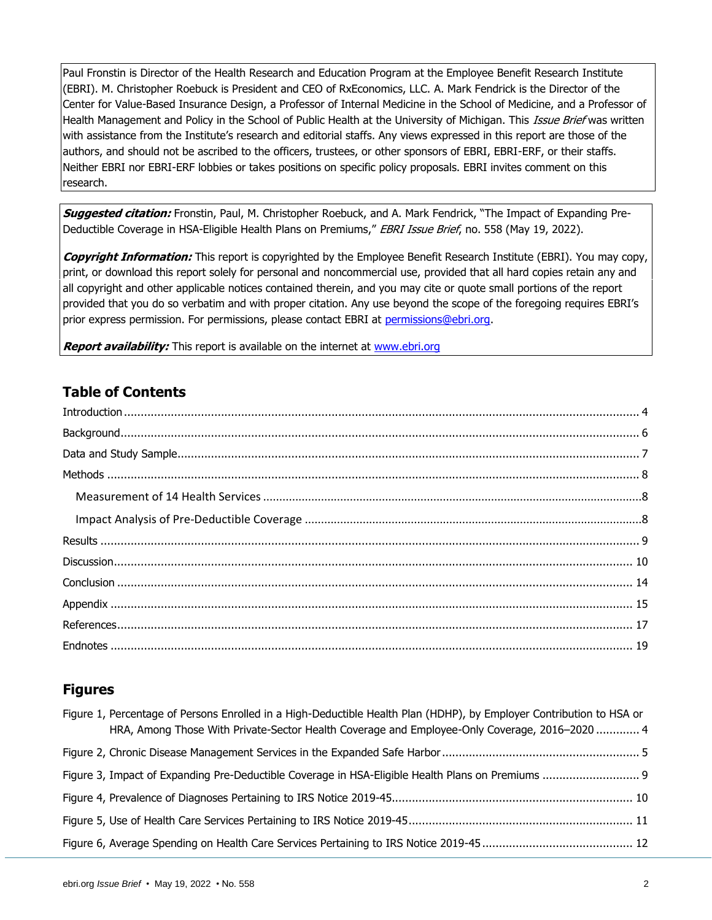Paul Fronstin is Director of the Health Research and Education Program at the Employee Benefit Research Institute (EBRI). M. Christopher Roebuck is President and CEO of RxEconomics, LLC. A. Mark Fendrick is the Director of the Center for Value-Based Insurance Design, a Professor of Internal Medicine in the School of Medicine, and a Professor of Health Management and Policy in the School of Public Health at the University of Michigan. This Issue Brief was written with assistance from the Institute's research and editorial staffs. Any views expressed in this report are those of the authors, and should not be ascribed to the officers, trustees, or other sponsors of EBRI, EBRI-ERF, or their staffs. Neither EBRI nor EBRI-ERF lobbies or takes positions on specific policy proposals. EBRI invites comment on this research.

**Suggested citation:** Fronstin, Paul, M. Christopher Roebuck, and A. Mark Fendrick, "The Impact of Expanding Pre-Deductible Coverage in HSA-Eligible Health Plans on Premiums," EBRI Issue Brief, no. 558 (May 19, 2022).

**Copyright Information:** This report is copyrighted by the Employee Benefit Research Institute (EBRI). You may copy, print, or download this report solely for personal and noncommercial use, provided that all hard copies retain any and all copyright and other applicable notices contained therein, and you may cite or quote small portions of the report provided that you do so verbatim and with proper citation. Any use beyond the scope of the foregoing requires EBRI's prior express permission. For permissions, please contact EBRI at [permissions@ebri.org.](mailto:permissions@ebri.org)

**Report availability:** This report is available on the internet at [www.ebri.org](file://///cetrom.net/EBRI$/EBRI_Data$/Users/stephen.blakely/Editing%20(Current)/IB/IB.Dec14.K-Update/Dec11-IB-K-update/www.ebri.org)

## **Table of Contents**

## **Figures**

| Figure 1, Percentage of Persons Enrolled in a High-Deductible Health Plan (HDHP), by Employer Contribution to HSA or<br>HRA, Among Those With Private-Sector Health Coverage and Employee-Only Coverage, 2016–2020  4 |  |
|-----------------------------------------------------------------------------------------------------------------------------------------------------------------------------------------------------------------------|--|
|                                                                                                                                                                                                                       |  |
|                                                                                                                                                                                                                       |  |
|                                                                                                                                                                                                                       |  |
|                                                                                                                                                                                                                       |  |
|                                                                                                                                                                                                                       |  |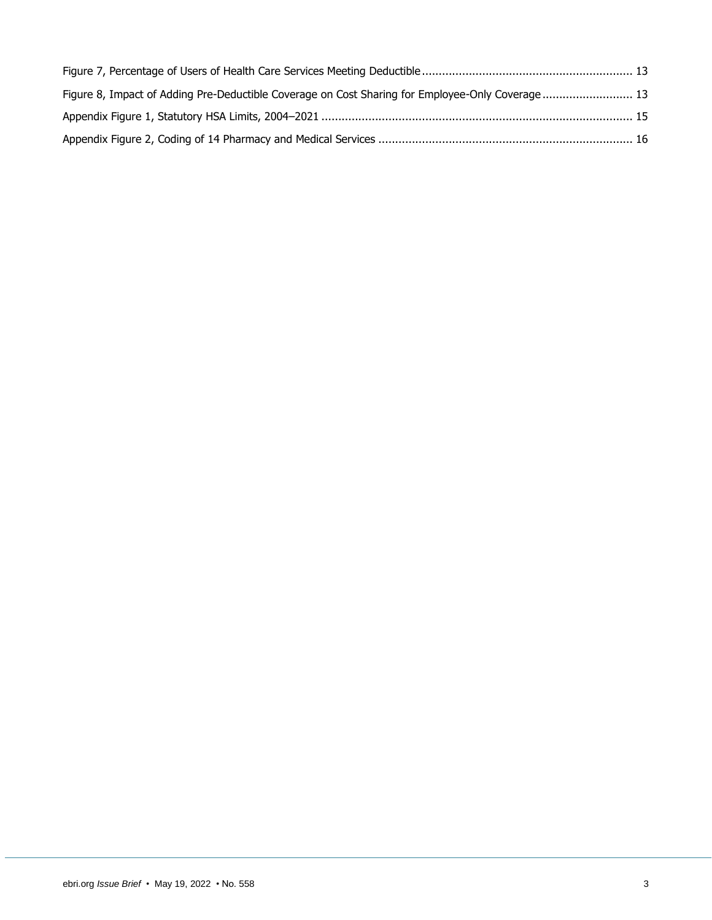| Figure 8, Impact of Adding Pre-Deductible Coverage on Cost Sharing for Employee-Only Coverage 13 |  |
|--------------------------------------------------------------------------------------------------|--|
|                                                                                                  |  |
|                                                                                                  |  |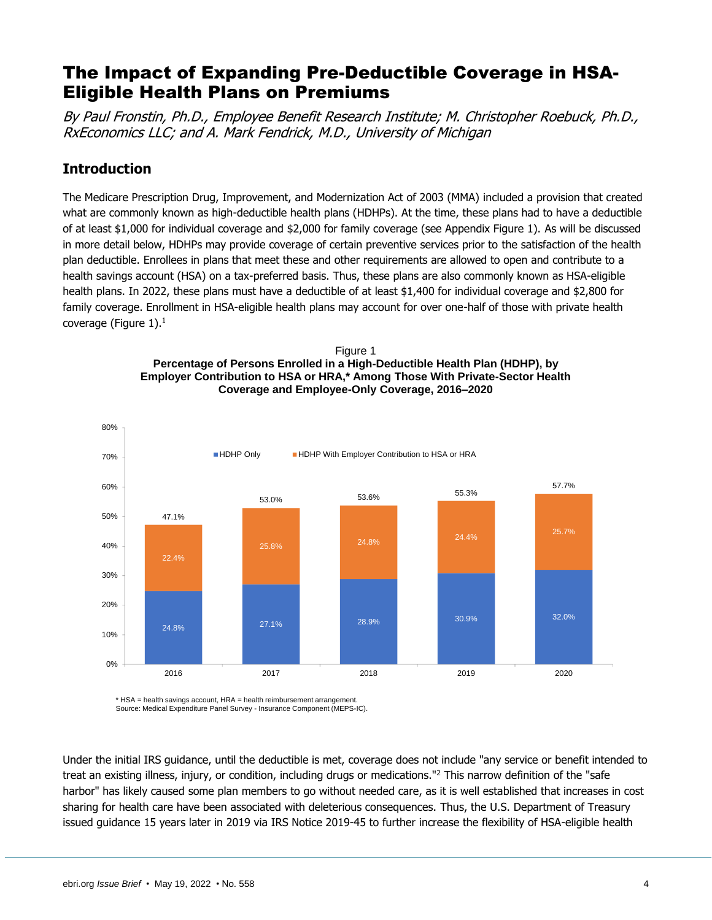# The Impact of Expanding Pre-Deductible Coverage in HSA-Eligible Health Plans on Premiums

By Paul Fronstin, Ph.D., Employee Benefit Research Institute; M. Christopher Roebuck, Ph.D., RxEconomics LLC; and A. Mark Fendrick, M.D., University of Michigan

## <span id="page-3-0"></span>**Introduction**

The Medicare Prescription Drug, Improvement, and Modernization Act of 2003 (MMA) included a provision that created what are commonly known as high-deductible health plans (HDHPs). At the time, these plans had to have a deductible of at least \$1,000 for individual coverage and \$2,000 for family coverage (see Appendix Figure 1). As will be discussed in more detail below, HDHPs may provide coverage of certain preventive services prior to the satisfaction of the health plan deductible. Enrollees in plans that meet these and other requirements are allowed to open and contribute to a health savings account (HSA) on a tax-preferred basis. Thus, these plans are also commonly known as HSA-eligible health plans. In 2022, these plans must have a deductible of at least \$1,400 for individual coverage and \$2,800 for family coverage. Enrollment in HSA-eligible health plans may account for over one-half of those with private health coverage (Figure 1). $<sup>1</sup>$ </sup>





\* HSA = health savings account, HRA = health reimbursement arrangement. Source: Medical Expenditure Panel Survey - Insurance Component (MEPS-IC).

Under the initial IRS guidance, until the deductible is met, coverage does not include "any service or benefit intended to treat an existing illness, injury, or condition, including drugs or medications."<sup>2</sup> This narrow definition of the "safe harbor" has likely caused some plan members to go without needed care, as it is well established that increases in cost sharing for health care have been associated with deleterious consequences. Thus, the U.S. Department of Treasury issued guidance 15 years later in 2019 via IRS Notice 2019-45 to further increase the flexibility of HSA-eligible health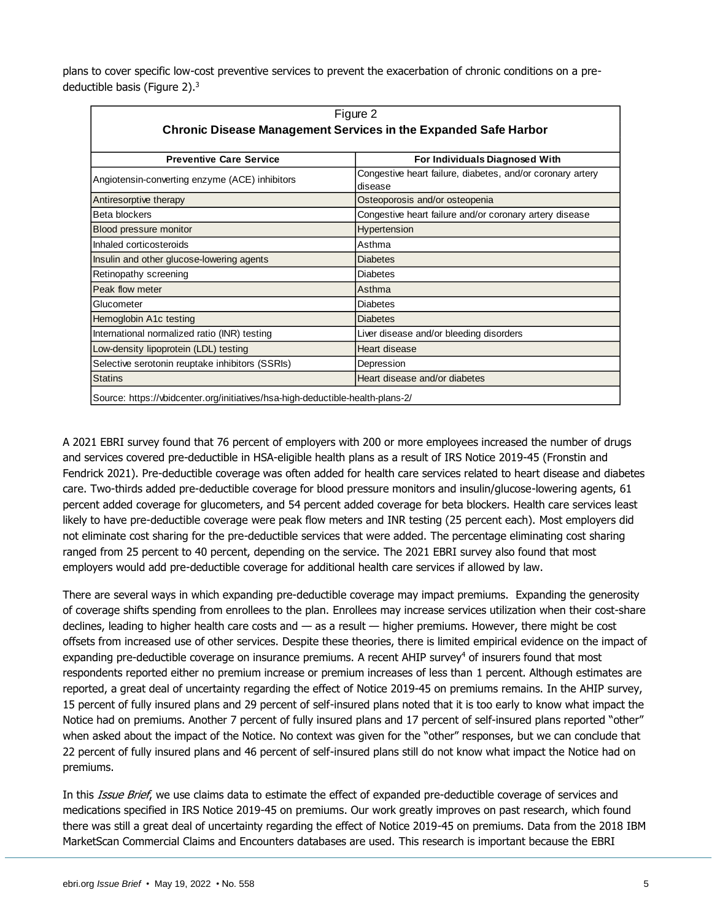plans to cover specific low-cost preventive services to prevent the exacerbation of chronic conditions on a predeductible basis (Figure 2).<sup>3</sup>

|                                                                                | Figure 2                                                              |  |  |  |
|--------------------------------------------------------------------------------|-----------------------------------------------------------------------|--|--|--|
| <b>Chronic Disease Management Services in the Expanded Safe Harbor</b>         |                                                                       |  |  |  |
|                                                                                |                                                                       |  |  |  |
| <b>Preventive Care Service</b>                                                 | For Individuals Diagnosed With                                        |  |  |  |
| Angiotensin-converting enzyme (ACE) inhibitors                                 | Congestive heart failure, diabetes, and/or coronary artery<br>disease |  |  |  |
| Antiresorptive therapy                                                         | Osteoporosis and/or osteopenia                                        |  |  |  |
| Beta blockers                                                                  | Congestive heart failure and/or coronary artery disease               |  |  |  |
| Blood pressure monitor                                                         | Hypertension                                                          |  |  |  |
| Inhaled corticosteroids                                                        | Asthma                                                                |  |  |  |
| Insulin and other glucose-lowering agents                                      | <b>Diabetes</b>                                                       |  |  |  |
| Retinopathy screening                                                          | <b>Diabetes</b>                                                       |  |  |  |
| Peak flow meter                                                                | Asthma                                                                |  |  |  |
| Glucometer                                                                     | <b>Diabetes</b>                                                       |  |  |  |
| Hemoglobin A1c testing                                                         | <b>Diabetes</b>                                                       |  |  |  |
| International normalized ratio (INR) testing                                   | Liver disease and/or bleeding disorders                               |  |  |  |
| Low-density lipoprotein (LDL) testing                                          | Heart disease                                                         |  |  |  |
| Selective serotonin reuptake inhibitors (SSRIs)                                | Depression                                                            |  |  |  |
| <b>Statins</b>                                                                 | Heart disease and/or diabetes                                         |  |  |  |
| Source: https://vbidcenter.org/initiatives/hsa-high-deductible-health-plans-2/ |                                                                       |  |  |  |

A 2021 EBRI survey found that 76 percent of employers with 200 or more employees increased the number of drugs and services covered pre-deductible in HSA-eligible health plans as a result of IRS Notice 2019-45 (Fronstin and Fendrick 2021). Pre-deductible coverage was often added for health care services related to heart disease and diabetes care. Two-thirds added pre-deductible coverage for blood pressure monitors and insulin/glucose-lowering agents, 61 percent added coverage for glucometers, and 54 percent added coverage for beta blockers. Health care services least likely to have pre-deductible coverage were peak flow meters and INR testing (25 percent each). Most employers did not eliminate cost sharing for the pre-deductible services that were added. The percentage eliminating cost sharing ranged from 25 percent to 40 percent, depending on the service. The 2021 EBRI survey also found that most employers would add pre-deductible coverage for additional health care services if allowed by law.

There are several ways in which expanding pre-deductible coverage may impact premiums. Expanding the generosity of coverage shifts spending from enrollees to the plan. Enrollees may increase services utilization when their cost-share declines, leading to higher health care costs and — as a result — higher premiums. However, there might be cost offsets from increased use of other services. Despite these theories, there is limited empirical evidence on the impact of expanding pre-deductible coverage on insurance premiums. A recent AHIP survey $4$  of insurers found that most respondents reported either no premium increase or premium increases of less than 1 percent. Although estimates are reported, a great deal of uncertainty regarding the effect of Notice 2019-45 on premiums remains. In the AHIP survey, 15 percent of fully insured plans and 29 percent of self-insured plans noted that it is too early to know what impact the Notice had on premiums. Another 7 percent of fully insured plans and 17 percent of self-insured plans reported "other" when asked about the impact of the Notice. No context was given for the "other" responses, but we can conclude that 22 percent of fully insured plans and 46 percent of self-insured plans still do not know what impact the Notice had on premiums.

In this Issue Brief, we use claims data to estimate the effect of expanded pre-deductible coverage of services and medications specified in IRS Notice 2019-45 on premiums. Our work greatly improves on past research, which found there was still a great deal of uncertainty regarding the effect of Notice 2019-45 on premiums. Data from the 2018 IBM MarketScan Commercial Claims and Encounters databases are used. This research is important because the EBRI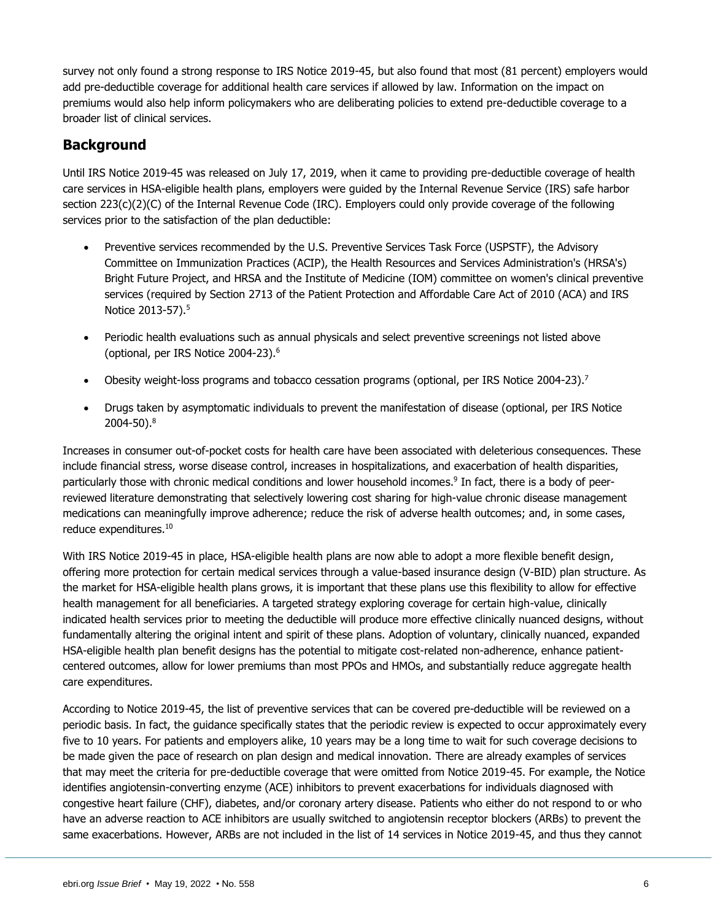survey not only found a strong response to IRS Notice 2019-45, but also found that most (81 percent) employers would add pre-deductible coverage for additional health care services if allowed by law. Information on the impact on premiums would also help inform policymakers who are deliberating policies to extend pre-deductible coverage to a broader list of clinical services.

## <span id="page-5-0"></span>**Background**

Until IRS Notice 2019-45 was released on July 17, 2019, when it came to providing pre-deductible coverage of health care services in HSA-eligible health plans, employers were guided by the Internal Revenue Service (IRS) safe harbor section 223(c)(2)(C) of the Internal Revenue Code (IRC). Employers could only provide coverage of the following services prior to the satisfaction of the plan deductible:

- Preventive services recommended by the U.S. Preventive Services Task Force (USPSTF), the Advisory Committee on Immunization Practices (ACIP), the Health Resources and Services Administration's (HRSA's) Bright Future Project, and HRSA and the Institute of Medicine (IOM) committee on women's clinical preventive services (required by Section 2713 of the Patient Protection and Affordable Care Act of 2010 (ACA) and IRS Notice 2013-57).<sup>5</sup>
- Periodic health evaluations such as annual physicals and select preventive screenings not listed above (optional, per IRS Notice 2004-23). 6
- Obesity weight-loss programs and tobacco cessation programs (optional, per IRS Notice 2004-23).<sup>7</sup>
- Drugs taken by asymptomatic individuals to prevent the manifestation of disease (optional, per IRS Notice 2004-50).<sup>8</sup>

Increases in consumer out-of-pocket costs for health care have been associated with deleterious consequences. These include financial stress, worse disease control, increases in hospitalizations, and exacerbation of health disparities, particularly those with chronic medical conditions and lower household incomes.<sup>9</sup> In fact, there is a body of peerreviewed literature demonstrating that selectively lowering cost sharing for high-value chronic disease management medications can meaningfully improve adherence; reduce the risk of adverse health outcomes; and, in some cases, reduce expenditures.<sup>10</sup>

With IRS Notice 2019-45 in place, HSA-eligible health plans are now able to adopt a more flexible benefit design, offering more protection for certain medical services through a value-based insurance design (V-BID) plan structure. As the market for HSA-eligible health plans grows, it is important that these plans use this flexibility to allow for effective health management for all beneficiaries. A targeted strategy exploring coverage for certain high-value, clinically indicated health services prior to meeting the deductible will produce more effective clinically nuanced designs, without fundamentally altering the original intent and spirit of these plans. Adoption of voluntary, clinically nuanced, expanded HSA-eligible health plan benefit designs has the potential to mitigate cost-related non-adherence, enhance patientcentered outcomes, allow for lower premiums than most PPOs and HMOs, and substantially reduce aggregate health care expenditures.

According to Notice 2019-45, the list of preventive services that can be covered pre-deductible will be reviewed on a periodic basis. In fact, the guidance specifically states that the periodic review is expected to occur approximately every five to 10 years. For patients and employers alike, 10 years may be a long time to wait for such coverage decisions to be made given the pace of research on plan design and medical innovation. There are already examples of services that may meet the criteria for pre-deductible coverage that were omitted from Notice 2019-45. For example, the Notice identifies angiotensin-converting enzyme (ACE) inhibitors to prevent exacerbations for individuals diagnosed with congestive heart failure (CHF), diabetes, and/or coronary artery disease. Patients who either do not respond to or who have an adverse reaction to ACE inhibitors are usually switched to angiotensin receptor blockers (ARBs) to prevent the same exacerbations. However, ARBs are not included in the list of 14 services in Notice 2019-45, and thus they cannot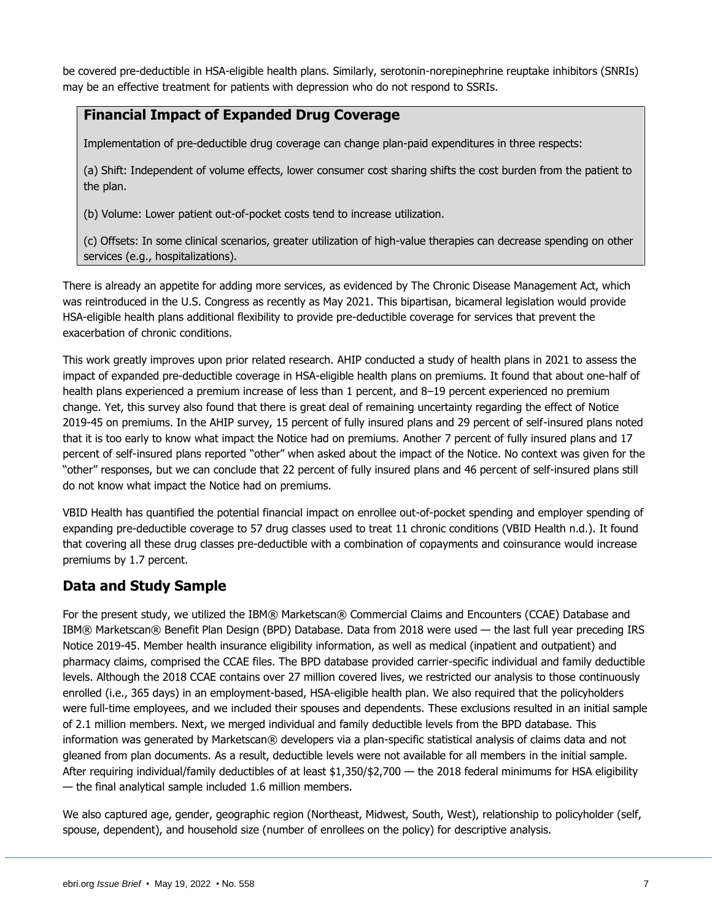be covered pre-deductible in HSA-eligible health plans. Similarly, serotonin-norepinephrine reuptake inhibitors (SNRIs) may be an effective treatment for patients with depression who do not respond to SSRIs.

## **Financial Impact of Expanded Drug Coverage**

Implementation of pre-deductible drug coverage can change plan-paid expenditures in three respects:

(a) Shift: Independent of volume effects, lower consumer cost sharing shifts the cost burden from the patient to the plan.

(b) Volume: Lower patient out-of-pocket costs tend to increase utilization.

(c) Offsets: In some clinical scenarios, greater utilization of high-value therapies can decrease spending on other services (e.g., hospitalizations).

There is already an appetite for adding more services, as evidenced by The Chronic Disease Management Act, which was reintroduced in the U.S. Congress as recently as May 2021. This bipartisan, bicameral legislation would provide HSA-eligible health plans additional flexibility to provide pre-deductible coverage for services that prevent the exacerbation of chronic conditions.

This work greatly improves upon prior related research. AHIP conducted a study of health plans in 2021 to assess the impact of expanded pre-deductible coverage in HSA-eligible health plans on premiums. It found that about one-half of health plans experienced a premium increase of less than 1 percent, and 8–19 percent experienced no premium change. Yet, this survey also found that there is great deal of remaining uncertainty regarding the effect of Notice 2019-45 on premiums. In the AHIP survey, 15 percent of fully insured plans and 29 percent of self-insured plans noted that it is too early to know what impact the Notice had on premiums. Another 7 percent of fully insured plans and 17 percent of self-insured plans reported "other" when asked about the impact of the Notice. No context was given for the "other" responses, but we can conclude that 22 percent of fully insured plans and 46 percent of self-insured plans still do not know what impact the Notice had on premiums.

VBID Health has quantified the potential financial impact on enrollee out-of-pocket spending and employer spending of expanding pre-deductible coverage to 57 drug classes used to treat 11 chronic conditions (VBID Health n.d.). It found that covering all these drug classes pre-deductible with a combination of copayments and coinsurance would increase premiums by 1.7 percent.

## <span id="page-6-0"></span>**Data and Study Sample**

For the present study, we utilized the IBM® Marketscan® Commercial Claims and Encounters (CCAE) Database and IBM® Marketscan® Benefit Plan Design (BPD) Database. Data from 2018 were used — the last full year preceding IRS Notice 2019-45. Member health insurance eligibility information, as well as medical (inpatient and outpatient) and pharmacy claims, comprised the CCAE files. The BPD database provided carrier-specific individual and family deductible levels. Although the 2018 CCAE contains over 27 million covered lives, we restricted our analysis to those continuously enrolled (i.e., 365 days) in an employment-based, HSA-eligible health plan. We also required that the policyholders were full-time employees, and we included their spouses and dependents. These exclusions resulted in an initial sample of 2.1 million members. Next, we merged individual and family deductible levels from the BPD database. This information was generated by Marketscan® developers via a plan-specific statistical analysis of claims data and not gleaned from plan documents. As a result, deductible levels were not available for all members in the initial sample. After requiring individual/family deductibles of at least \$1,350/\$2,700 — the 2018 federal minimums for HSA eligibility — the final analytical sample included 1.6 million members.

We also captured age, gender, geographic region (Northeast, Midwest, South, West), relationship to policyholder (self, spouse, dependent), and household size (number of enrollees on the policy) for descriptive analysis.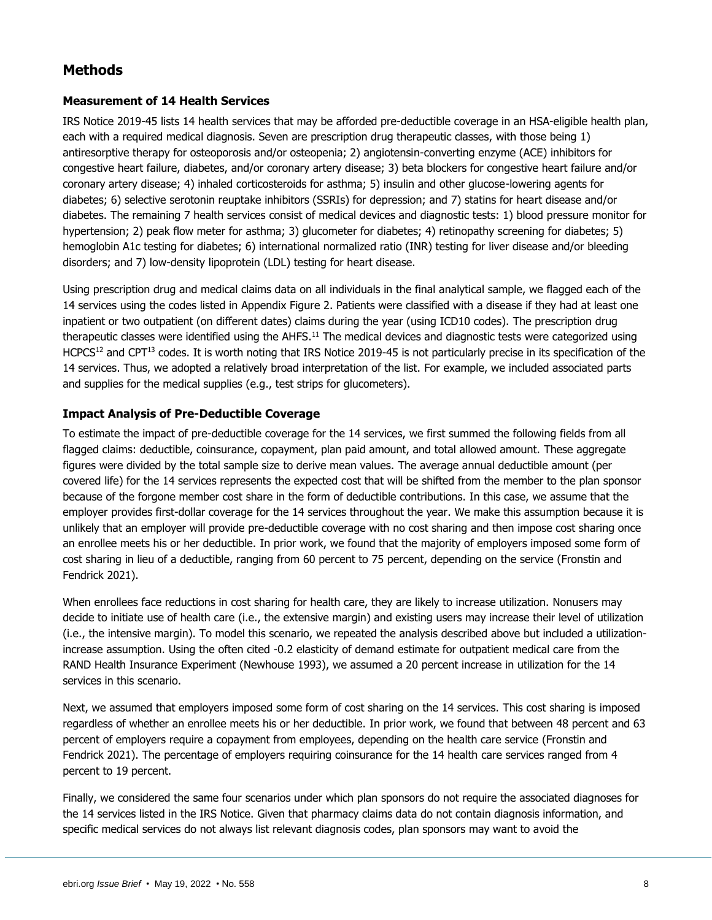## <span id="page-7-0"></span>**Methods**

#### <span id="page-7-1"></span>**Measurement of 14 Health Services**

IRS Notice 2019-45 lists 14 health services that may be afforded pre-deductible coverage in an HSA-eligible health plan, each with a required medical diagnosis. Seven are prescription drug therapeutic classes, with those being 1) antiresorptive therapy for osteoporosis and/or osteopenia; 2) angiotensin-converting enzyme (ACE) inhibitors for congestive heart failure, diabetes, and/or coronary artery disease; 3) beta blockers for congestive heart failure and/or coronary artery disease; 4) inhaled corticosteroids for asthma; 5) insulin and other glucose-lowering agents for diabetes; 6) selective serotonin reuptake inhibitors (SSRIs) for depression; and 7) statins for heart disease and/or diabetes. The remaining 7 health services consist of medical devices and diagnostic tests: 1) blood pressure monitor for hypertension; 2) peak flow meter for asthma; 3) glucometer for diabetes; 4) retinopathy screening for diabetes; 5) hemoglobin A1c testing for diabetes; 6) international normalized ratio (INR) testing for liver disease and/or bleeding disorders; and 7) low-density lipoprotein (LDL) testing for heart disease.

Using prescription drug and medical claims data on all individuals in the final analytical sample, we flagged each of the 14 services using the codes listed in Appendix Figure 2. Patients were classified with a disease if they had at least one inpatient or two outpatient (on different dates) claims during the year (using ICD10 codes). The prescription drug therapeutic classes were identified using the AHFS.<sup>11</sup> The medical devices and diagnostic tests were categorized using HCPCS<sup>12</sup> and CPT<sup>13</sup> codes. It is worth noting that IRS Notice 2019-45 is not particularly precise in its specification of the 14 services. Thus, we adopted a relatively broad interpretation of the list. For example, we included associated parts and supplies for the medical supplies (e.g., test strips for glucometers).

#### <span id="page-7-2"></span>**Impact Analysis of Pre-Deductible Coverage**

To estimate the impact of pre-deductible coverage for the 14 services, we first summed the following fields from all flagged claims: deductible, coinsurance, copayment, plan paid amount, and total allowed amount. These aggregate figures were divided by the total sample size to derive mean values. The average annual deductible amount (per covered life) for the 14 services represents the expected cost that will be shifted from the member to the plan sponsor because of the forgone member cost share in the form of deductible contributions. In this case, we assume that the employer provides first-dollar coverage for the 14 services throughout the year. We make this assumption because it is unlikely that an employer will provide pre-deductible coverage with no cost sharing and then impose cost sharing once an enrollee meets his or her deductible. In prior work, we found that the majority of employers imposed some form of cost sharing in lieu of a deductible, ranging from 60 percent to 75 percent, depending on the service (Fronstin and Fendrick 2021).

When enrollees face reductions in cost sharing for health care, they are likely to increase utilization. Nonusers may decide to initiate use of health care (i.e., the extensive margin) and existing users may increase their level of utilization (i.e., the intensive margin). To model this scenario, we repeated the analysis described above but included a utilizationincrease assumption. Using the often cited -0.2 elasticity of demand estimate for outpatient medical care from the RAND Health Insurance Experiment (Newhouse 1993), we assumed a 20 percent increase in utilization for the 14 services in this scenario.

Next, we assumed that employers imposed some form of cost sharing on the 14 services. This cost sharing is imposed regardless of whether an enrollee meets his or her deductible. In prior work, we found that between 48 percent and 63 percent of employers require a copayment from employees, depending on the health care service (Fronstin and Fendrick 2021). The percentage of employers requiring coinsurance for the 14 health care services ranged from 4 percent to 19 percent.

Finally, we considered the same four scenarios under which plan sponsors do not require the associated diagnoses for the 14 services listed in the IRS Notice. Given that pharmacy claims data do not contain diagnosis information, and specific medical services do not always list relevant diagnosis codes, plan sponsors may want to avoid the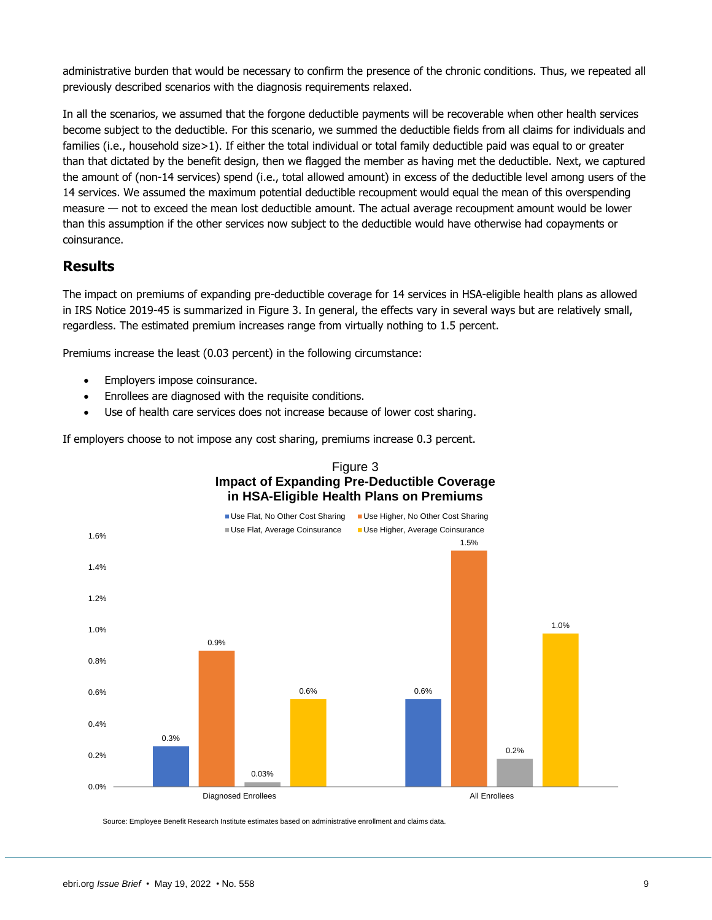administrative burden that would be necessary to confirm the presence of the chronic conditions. Thus, we repeated all previously described scenarios with the diagnosis requirements relaxed.

In all the scenarios, we assumed that the forgone deductible payments will be recoverable when other health services become subject to the deductible. For this scenario, we summed the deductible fields from all claims for individuals and families (i.e., household size>1). If either the total individual or total family deductible paid was equal to or greater than that dictated by the benefit design, then we flagged the member as having met the deductible. Next, we captured the amount of (non-14 services) spend (i.e., total allowed amount) in excess of the deductible level among users of the 14 services. We assumed the maximum potential deductible recoupment would equal the mean of this overspending measure — not to exceed the mean lost deductible amount. The actual average recoupment amount would be lower than this assumption if the other services now subject to the deductible would have otherwise had copayments or coinsurance.

## <span id="page-8-0"></span>**Results**

The impact on premiums of expanding pre-deductible coverage for 14 services in HSA-eligible health plans as allowed in IRS Notice 2019-45 is summarized in Figure 3. In general, the effects vary in several ways but are relatively small, regardless. The estimated premium increases range from virtually nothing to 1.5 percent.

Premiums increase the least (0.03 percent) in the following circumstance:

- Employers impose coinsurance.
- Enrollees are diagnosed with the requisite conditions.
- Use of health care services does not increase because of lower cost sharing.

If employers choose to not impose any cost sharing, premiums increase 0.3 percent.



Source: Employee Benefit Research Institute estimates based on administrative enrollment and claims data.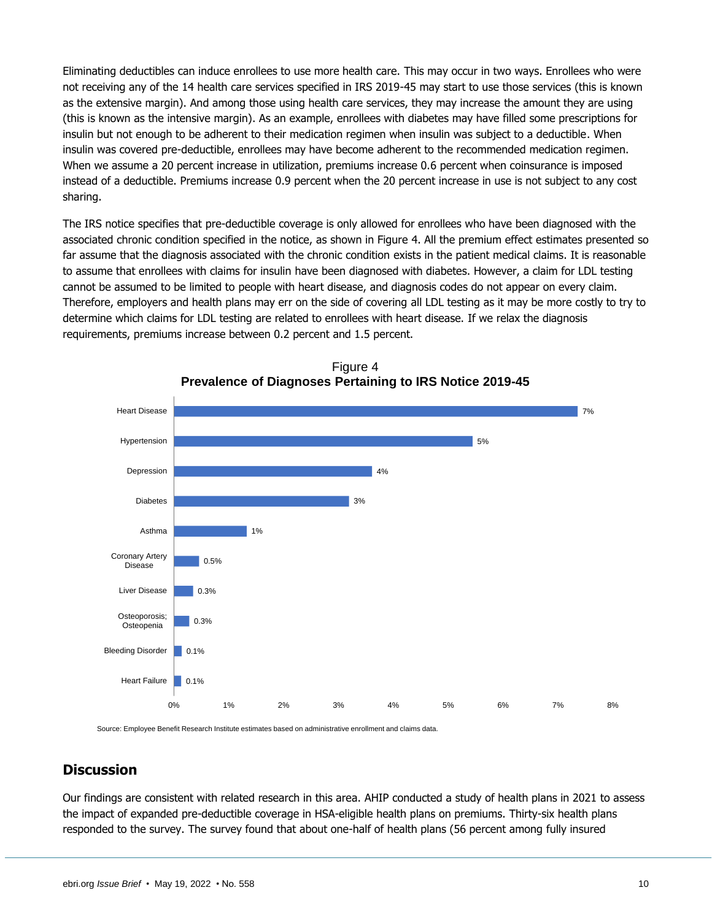Eliminating deductibles can induce enrollees to use more health care. This may occur in two ways. Enrollees who were not receiving any of the 14 health care services specified in IRS 2019-45 may start to use those services (this is known as the extensive margin). And among those using health care services, they may increase the amount they are using (this is known as the intensive margin). As an example, enrollees with diabetes may have filled some prescriptions for insulin but not enough to be adherent to their medication regimen when insulin was subject to a deductible. When insulin was covered pre-deductible, enrollees may have become adherent to the recommended medication regimen. When we assume a 20 percent increase in utilization, premiums increase 0.6 percent when coinsurance is imposed instead of a deductible. Premiums increase 0.9 percent when the 20 percent increase in use is not subject to any cost sharing.

The IRS notice specifies that pre-deductible coverage is only allowed for enrollees who have been diagnosed with the associated chronic condition specified in the notice, as shown in Figure 4. All the premium effect estimates presented so far assume that the diagnosis associated with the chronic condition exists in the patient medical claims. It is reasonable to assume that enrollees with claims for insulin have been diagnosed with diabetes. However, a claim for LDL testing cannot be assumed to be limited to people with heart disease, and diagnosis codes do not appear on every claim. Therefore, employers and health plans may err on the side of covering all LDL testing as it may be more costly to try to determine which claims for LDL testing are related to enrollees with heart disease. If we relax the diagnosis requirements, premiums increase between 0.2 percent and 1.5 percent.



Figure 4 **Prevalence of Diagnoses Pertaining to IRS Notice 2019-45**

Source: Employee Benefit Research Institute estimates based on administrative enrollment and claims data.

## <span id="page-9-0"></span>**Discussion**

Our findings are consistent with related research in this area. AHIP conducted a study of health plans in 2021 to assess the impact of expanded pre-deductible coverage in HSA-eligible health plans on premiums. Thirty-six health plans responded to the survey. The survey found that about one-half of health plans (56 percent among fully insured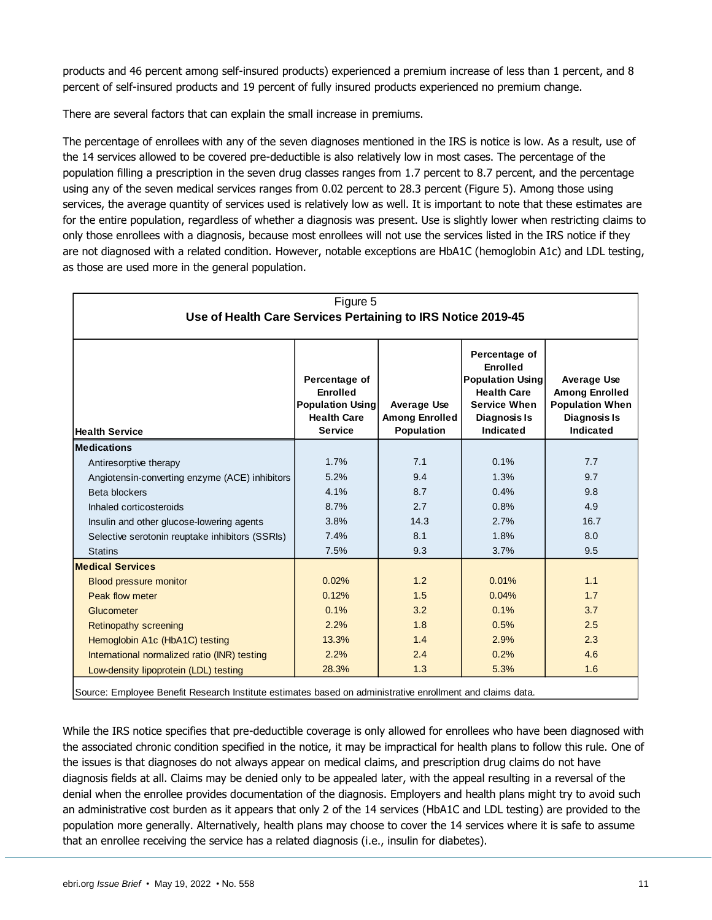products and 46 percent among self-insured products) experienced a premium increase of less than 1 percent, and 8 percent of self-insured products and 19 percent of fully insured products experienced no premium change.

There are several factors that can explain the small increase in premiums.

The percentage of enrollees with any of the seven diagnoses mentioned in the IRS is notice is low. As a result, use of the 14 services allowed to be covered pre-deductible is also relatively low in most cases. The percentage of the population filling a prescription in the seven drug classes ranges from 1.7 percent to 8.7 percent, and the percentage using any of the seven medical services ranges from 0.02 percent to 28.3 percent (Figure 5). Among those using services, the average quantity of services used is relatively low as well. It is important to note that these estimates are for the entire population, regardless of whether a diagnosis was present. Use is slightly lower when restricting claims to only those enrollees with a diagnosis, because most enrollees will not use the services listed in the IRS notice if they are not diagnosed with a related condition. However, notable exceptions are HbA1C (hemoglobin A1c) and LDL testing, as those are used more in the general population.

| Figure 5                                                     |                                                                                                     |                                                                  |                                                                                                                                |                                                                                                    |  |
|--------------------------------------------------------------|-----------------------------------------------------------------------------------------------------|------------------------------------------------------------------|--------------------------------------------------------------------------------------------------------------------------------|----------------------------------------------------------------------------------------------------|--|
| Use of Health Care Services Pertaining to IRS Notice 2019-45 |                                                                                                     |                                                                  |                                                                                                                                |                                                                                                    |  |
|                                                              |                                                                                                     |                                                                  |                                                                                                                                |                                                                                                    |  |
| <b>Health Service</b>                                        | Percentage of<br><b>Enrolled</b><br><b>Population Using</b><br><b>Health Care</b><br><b>Service</b> | <b>Average Use</b><br><b>Among Enrolled</b><br><b>Population</b> | Percentage of<br>Enrolled<br><b>Population Using</b><br><b>Health Care</b><br><b>Service When</b><br>Diagnosis Is<br>Indicated | <b>Average Use</b><br><b>Among Enrolled</b><br><b>Population When</b><br>Diagnosis Is<br>Indicated |  |
| <b>Medications</b>                                           |                                                                                                     |                                                                  |                                                                                                                                |                                                                                                    |  |
| Antiresorptive therapy                                       | 1.7%                                                                                                | 7.1                                                              | 0.1%                                                                                                                           | 7.7                                                                                                |  |
| Angiotensin-converting enzyme (ACE) inhibitors               | 5.2%                                                                                                | 9.4                                                              | 1.3%                                                                                                                           | 9.7                                                                                                |  |
| Beta blockers                                                | 4.1%                                                                                                | 8.7                                                              | 0.4%                                                                                                                           | 9.8                                                                                                |  |
| Inhaled corticosteroids                                      | 8.7%                                                                                                | 2.7                                                              | 0.8%                                                                                                                           | 4.9                                                                                                |  |
| Insulin and other glucose-lowering agents                    | 3.8%                                                                                                | 14.3                                                             | 2.7%                                                                                                                           | 16.7                                                                                               |  |
| Selective serotonin reuptake inhibitors (SSRIs)              | 7.4%                                                                                                | 8.1                                                              | 1.8%                                                                                                                           | 8.0                                                                                                |  |
| <b>Statins</b>                                               | 7.5%                                                                                                | 9.3                                                              | 3.7%                                                                                                                           | 9.5                                                                                                |  |
| <b>Medical Services</b>                                      |                                                                                                     |                                                                  |                                                                                                                                |                                                                                                    |  |
| <b>Blood pressure monitor</b>                                | 0.02%                                                                                               | 1.2                                                              | 0.01%                                                                                                                          | 1.1                                                                                                |  |
| Peak flow meter                                              | 0.12%                                                                                               | 1.5                                                              | 0.04%                                                                                                                          | 1.7                                                                                                |  |
| Glucometer                                                   | 0.1%                                                                                                | 3.2                                                              | 0.1%                                                                                                                           | 3.7                                                                                                |  |
| <b>Retinopathy screening</b>                                 | 2.2%                                                                                                | 1.8                                                              | 0.5%                                                                                                                           | 2.5                                                                                                |  |
| Hemoglobin A1c (HbA1C) testing                               | 13.3%                                                                                               | 1.4                                                              | 2.9%                                                                                                                           | 2.3                                                                                                |  |
| International normalized ratio (INR) testing                 | 2.2%                                                                                                | 2.4                                                              | 0.2%                                                                                                                           | 4.6                                                                                                |  |
| Low-density lipoprotein (LDL) testing                        | 28.3%                                                                                               | 1.3                                                              | 5.3%                                                                                                                           | 1.6                                                                                                |  |
|                                                              |                                                                                                     |                                                                  |                                                                                                                                |                                                                                                    |  |

Source: Employee Benefit Research Institute estimates based on administrative enrollment and claims data.

While the IRS notice specifies that pre-deductible coverage is only allowed for enrollees who have been diagnosed with the associated chronic condition specified in the notice, it may be impractical for health plans to follow this rule. One of the issues is that diagnoses do not always appear on medical claims, and prescription drug claims do not have diagnosis fields at all. Claims may be denied only to be appealed later, with the appeal resulting in a reversal of the denial when the enrollee provides documentation of the diagnosis. Employers and health plans might try to avoid such an administrative cost burden as it appears that only 2 of the 14 services (HbA1C and LDL testing) are provided to the population more generally. Alternatively, health plans may choose to cover the 14 services where it is safe to assume that an enrollee receiving the service has a related diagnosis (i.e., insulin for diabetes).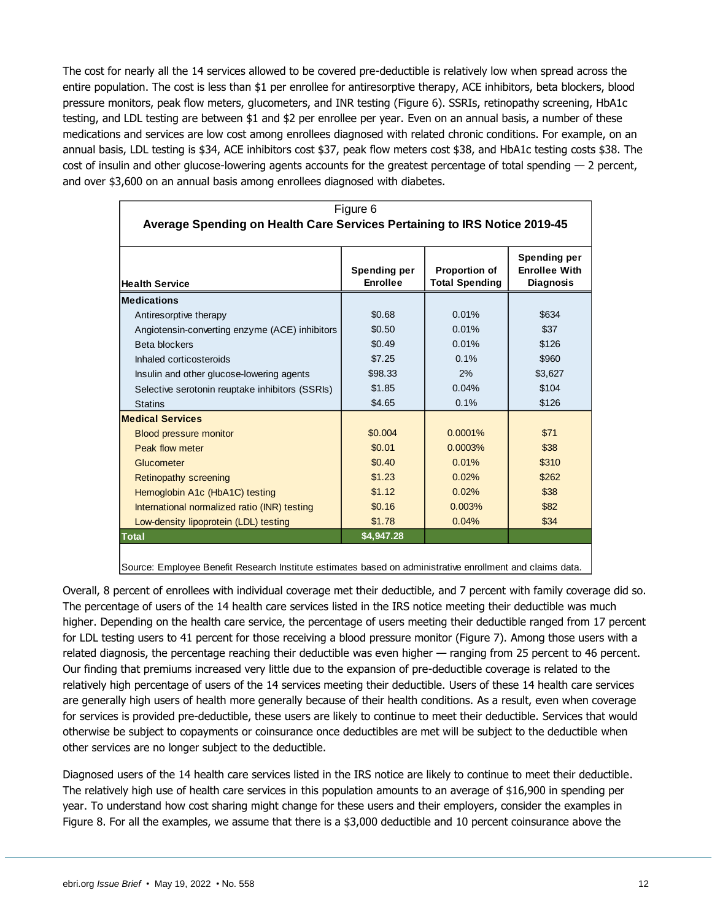The cost for nearly all the 14 services allowed to be covered pre-deductible is relatively low when spread across the entire population. The cost is less than \$1 per enrollee for antiresorptive therapy, ACE inhibitors, beta blockers, blood pressure monitors, peak flow meters, glucometers, and INR testing (Figure 6). SSRIs, retinopathy screening, HbA1c testing, and LDL testing are between \$1 and \$2 per enrollee per year. Even on an annual basis, a number of these medications and services are low cost among enrollees diagnosed with related chronic conditions. For example, on an annual basis, LDL testing is \$34, ACE inhibitors cost \$37, peak flow meters cost \$38, and HbA1c testing costs \$38. The cost of insulin and other glucose-lowering agents accounts for the greatest percentage of total spending — 2 percent, and over \$3,600 on an annual basis among enrollees diagnosed with diabetes.

|                                                                           | Figure 6                        |                                               |                                                          |
|---------------------------------------------------------------------------|---------------------------------|-----------------------------------------------|----------------------------------------------------------|
| Average Spending on Health Care Services Pertaining to IRS Notice 2019-45 |                                 |                                               |                                                          |
| <b>Health Service</b>                                                     | Spending per<br><b>Enrollee</b> | <b>Proportion of</b><br><b>Total Spending</b> | Spending per<br><b>Enrollee With</b><br><b>Diagnosis</b> |
| <b>Medications</b>                                                        |                                 |                                               |                                                          |
| Antiresorptive therapy                                                    | \$0.68                          | 0.01%                                         | \$634                                                    |
| Angiotensin-converting enzyme (ACE) inhibitors                            | \$0.50                          | 0.01%                                         | \$37                                                     |
| <b>Beta blockers</b>                                                      | \$0.49                          | 0.01%                                         | \$126                                                    |
| Inhaled corticosteroids                                                   | \$7.25                          | 0.1%                                          | \$960                                                    |
| Insulin and other glucose-lowering agents                                 | \$98.33                         | 2%                                            | \$3,627                                                  |
| Selective serotonin reuptake inhibitors (SSRIs)                           | \$1.85                          | 0.04%                                         | \$104                                                    |
| <b>Statins</b>                                                            | \$4.65                          | 0.1%                                          | \$126                                                    |
| <b>Medical Services</b>                                                   |                                 |                                               |                                                          |
| <b>Blood pressure monitor</b>                                             | \$0,004                         | $0.0001\%$                                    | \$71                                                     |
| Peak flow meter                                                           | \$0.01                          | 0.0003%                                       | \$38                                                     |
| <b>Glucometer</b>                                                         | \$0.40                          | 0.01%                                         | \$310                                                    |
| <b>Retinopathy screening</b>                                              | \$1.23                          | 0.02%                                         | \$262                                                    |
| Hemoglobin A1c (HbA1C) testing                                            | \$1.12                          | 0.02%                                         | \$38                                                     |
| International normalized ratio (INR) testing                              | \$0.16                          | 0.003%                                        | \$82                                                     |
| Low-density lipoprotein (LDL) testing                                     | \$1.78                          | 0.04%                                         | \$34                                                     |
| Total                                                                     | \$4,947.28                      |                                               |                                                          |

Source: Employee Benefit Research Institute estimates based on administrative enrollment and claims data.

Overall, 8 percent of enrollees with individual coverage met their deductible, and 7 percent with family coverage did so. The percentage of users of the 14 health care services listed in the IRS notice meeting their deductible was much higher. Depending on the health care service, the percentage of users meeting their deductible ranged from 17 percent for LDL testing users to 41 percent for those receiving a blood pressure monitor (Figure 7). Among those users with a related diagnosis, the percentage reaching their deductible was even higher — ranging from 25 percent to 46 percent. Our finding that premiums increased very little due to the expansion of pre-deductible coverage is related to the relatively high percentage of users of the 14 services meeting their deductible. Users of these 14 health care services are generally high users of health more generally because of their health conditions. As a result, even when coverage for services is provided pre-deductible, these users are likely to continue to meet their deductible. Services that would otherwise be subject to copayments or coinsurance once deductibles are met will be subject to the deductible when other services are no longer subject to the deductible.

Diagnosed users of the 14 health care services listed in the IRS notice are likely to continue to meet their deductible. The relatively high use of health care services in this population amounts to an average of \$16,900 in spending per year. To understand how cost sharing might change for these users and their employers, consider the examples in Figure 8. For all the examples, we assume that there is a \$3,000 deductible and 10 percent coinsurance above the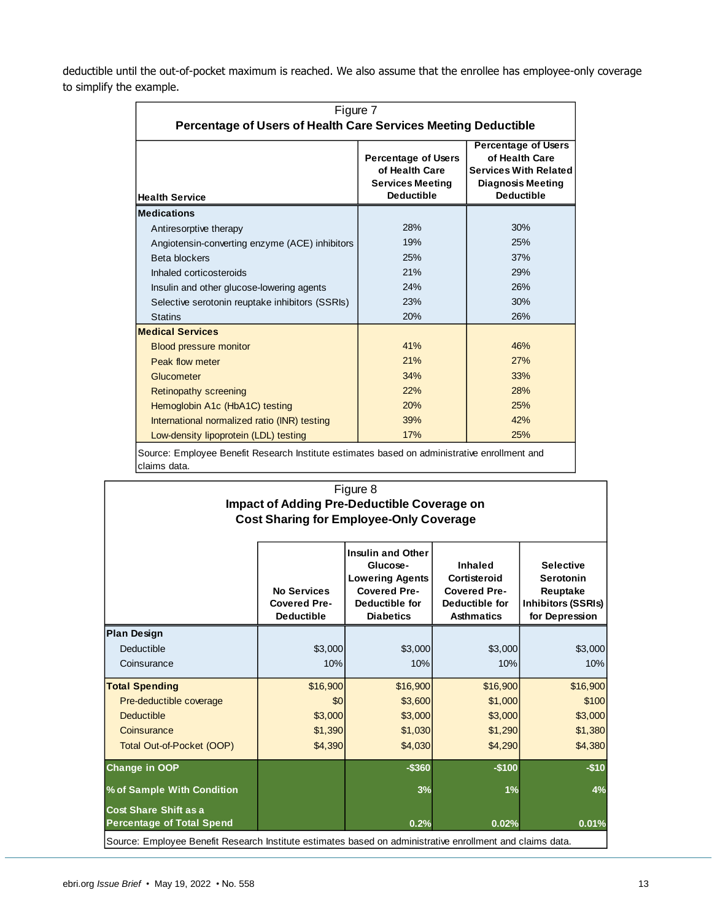deductible until the out-of-pocket maximum is reached. We also assume that the enrollee has employee-only coverage to simplify the example.

| Figure 7<br>Percentage of Users of Health Care Services Meeting Deductible |                                                                                              |                                                                                                                               |  |
|----------------------------------------------------------------------------|----------------------------------------------------------------------------------------------|-------------------------------------------------------------------------------------------------------------------------------|--|
| <b>Health Service</b>                                                      | <b>Percentage of Users</b><br>of Health Care<br><b>Services Meeting</b><br><b>Deductible</b> | <b>Percentage of Users</b><br>of Health Care<br><b>Services With Related</b><br><b>Diagnosis Meeting</b><br><b>Deductible</b> |  |
| <b>Medications</b>                                                         |                                                                                              |                                                                                                                               |  |
| Antiresorptive therapy                                                     | 28%                                                                                          | 30%                                                                                                                           |  |
| Angiotensin-converting enzyme (ACE) inhibitors                             | 19%                                                                                          | 25%                                                                                                                           |  |
| Beta blockers                                                              | 25%                                                                                          | 37%                                                                                                                           |  |
| Inhaled corticosteroids                                                    | 21%                                                                                          | 29%                                                                                                                           |  |
| Insulin and other glucose-lowering agents                                  | 24%                                                                                          | 26%                                                                                                                           |  |
| Selective serotonin reuptake inhibitors (SSRIs)                            | 23%                                                                                          | 30%                                                                                                                           |  |
| <b>Statins</b>                                                             | 20%                                                                                          | 26%                                                                                                                           |  |
| <b>Medical Services</b>                                                    |                                                                                              |                                                                                                                               |  |
| <b>Blood pressure monitor</b>                                              | 41%                                                                                          | 46%                                                                                                                           |  |
| Peak flow meter                                                            | 21%                                                                                          | 27%                                                                                                                           |  |
| Glucometer                                                                 | 34%                                                                                          | 33%                                                                                                                           |  |
| <b>Retinopathy screening</b>                                               | 22%                                                                                          | 28%                                                                                                                           |  |
| Hemoglobin A1c (HbA1C) testing                                             | 20%                                                                                          | 25%                                                                                                                           |  |
| International normalized ratio (INR) testing                               | 39%                                                                                          | 42%                                                                                                                           |  |
| Low-density lipoprotein (LDL) testing                                      | 17%                                                                                          | 25%                                                                                                                           |  |

# Figure 8 **Impact of Adding Pre-Deductible Coverage on Cost Sharing for Employee-Only Coverage**

|                                                                                                           | <b>No Services</b><br><b>Covered Pre-</b><br><b>Deductible</b> | <b>Insulin and Other</b><br>Glucose-<br><b>Lowering Agents</b><br><b>Covered Pre-</b><br>Deductible for<br><b>Diabetics</b> | Inhaled<br>Cortisteroid<br><b>Covered Pre-</b><br>Deductible for<br><b>Asthmatics</b> | <b>Selective</b><br>Serotonin<br>Reuptake<br><b>Inhibitors (SSRIs)</b><br>for Depression |
|-----------------------------------------------------------------------------------------------------------|----------------------------------------------------------------|-----------------------------------------------------------------------------------------------------------------------------|---------------------------------------------------------------------------------------|------------------------------------------------------------------------------------------|
| <b>Plan Design</b>                                                                                        |                                                                |                                                                                                                             |                                                                                       |                                                                                          |
| Deductible                                                                                                | \$3,000                                                        | \$3,000                                                                                                                     | \$3,000                                                                               | \$3,000                                                                                  |
| Coinsurance                                                                                               | 10%                                                            | 10%                                                                                                                         | 10%                                                                                   | 10%                                                                                      |
| <b>Total Spending</b>                                                                                     | \$16,900                                                       | \$16,900                                                                                                                    | \$16,900                                                                              | \$16,900                                                                                 |
| Pre-deductible coverage                                                                                   | \$0                                                            | \$3,600                                                                                                                     | \$1,000                                                                               | \$100                                                                                    |
| <b>Deductible</b>                                                                                         | \$3,000                                                        | \$3,000                                                                                                                     | \$3,000                                                                               | \$3,000                                                                                  |
| Coinsurance                                                                                               | \$1,390                                                        | \$1,030                                                                                                                     | \$1,290                                                                               | \$1,380                                                                                  |
| Total Out-of-Pocket (OOP)                                                                                 | \$4,390                                                        | \$4,030                                                                                                                     | \$4,290                                                                               | \$4,380                                                                                  |
| Change in OOP                                                                                             |                                                                | $-$360$                                                                                                                     | $-$100$                                                                               | $-$10$                                                                                   |
| % of Sample With Condition                                                                                |                                                                | 3%                                                                                                                          | 1%                                                                                    | 4%                                                                                       |
| <b>Cost Share Shift as a</b><br><b>Percentage of Total Spend</b>                                          |                                                                | 0.2%                                                                                                                        | 0.02%                                                                                 | 0.01%                                                                                    |
| Source: Employee Benefit Research Institute estimates based on administrative enrollment and claims data. |                                                                |                                                                                                                             |                                                                                       |                                                                                          |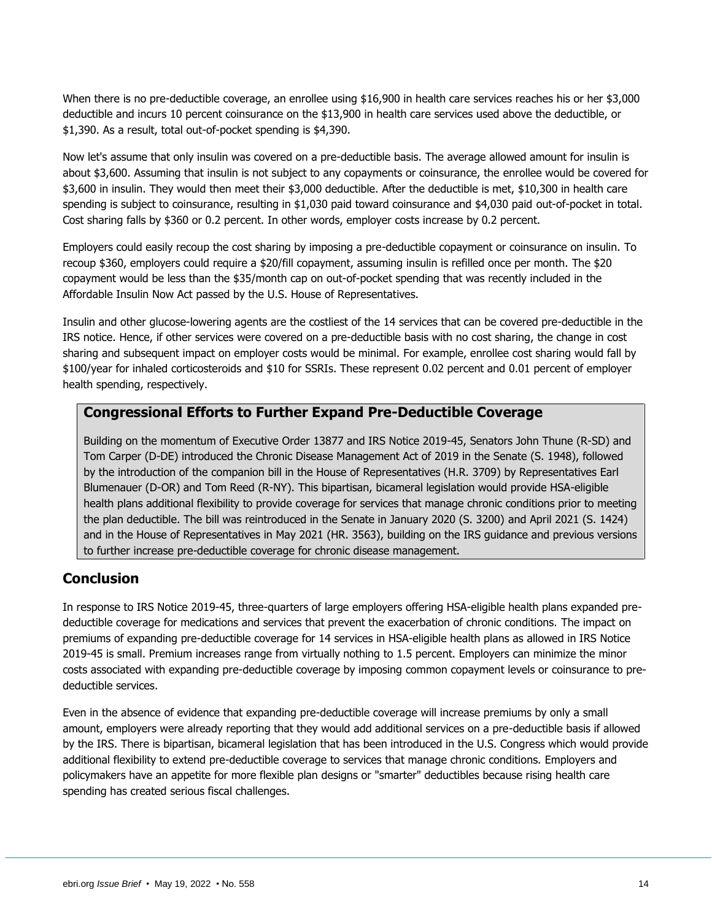When there is no pre-deductible coverage, an enrollee using \$16,900 in health care services reaches his or her \$3,000 deductible and incurs 10 percent coinsurance on the \$13,900 in health care services used above the deductible, or \$1,390. As a result, total out-of-pocket spending is \$4,390.

Now let's assume that only insulin was covered on a pre-deductible basis. The average allowed amount for insulin is about \$3,600. Assuming that insulin is not subject to any copayments or coinsurance, the enrollee would be covered for \$3,600 in insulin. They would then meet their \$3,000 deductible. After the deductible is met, \$10,300 in health care spending is subject to coinsurance, resulting in \$1,030 paid toward coinsurance and \$4,030 paid out-of-pocket in total. Cost sharing falls by \$360 or 0.2 percent. In other words, employer costs increase by 0.2 percent.

Employers could easily recoup the cost sharing by imposing a pre-deductible copayment or coinsurance on insulin. To recoup \$360, employers could require a \$20/fill copayment, assuming insulin is refilled once per month. The \$20 copayment would be less than the \$35/month cap on out-of-pocket spending that was recently included in the Affordable Insulin Now Act passed by the U.S. House of Representatives.

Insulin and other glucose-lowering agents are the costliest of the 14 services that can be covered pre-deductible in the IRS notice. Hence, if other services were covered on a pre-deductible basis with no cost sharing, the change in cost sharing and subsequent impact on employer costs would be minimal. For example, enrollee cost sharing would fall by \$100/year for inhaled corticosteroids and \$10 for SSRIs. These represent 0.02 percent and 0.01 percent of employer health spending, respectively.

#### **Congressional Efforts to Further Expand Pre-Deductible Coverage**

Building on the momentum of Executive Order 13877 and IRS Notice 2019-45, Senators John Thune (R-SD) and Tom Carper (D-DE) introduced the Chronic Disease Management Act of 2019 in the Senate (S. 1948), followed by the introduction of the companion bill in the House of Representatives (H.R. 3709) by Representatives Earl Blumenauer (D-OR) and Tom Reed (R-NY). This bipartisan, bicameral legislation would provide HSA-eligible health plans additional flexibility to provide coverage for services that manage chronic conditions prior to meeting the plan deductible. The bill was reintroduced in the Senate in January 2020 (S. 3200) and April 2021 (S. 1424) and in the House of Representatives in May 2021 (HR. 3563), building on the IRS guidance and previous versions to further increase pre-deductible coverage for chronic disease management.

## <span id="page-13-0"></span>**Conclusion**

In response to IRS Notice 2019-45, three-quarters of large employers offering HSA-eligible health plans expanded predeductible coverage for medications and services that prevent the exacerbation of chronic conditions. The impact on premiums of expanding pre-deductible coverage for 14 services in HSA-eligible health plans as allowed in IRS Notice 2019-45 is small. Premium increases range from virtually nothing to 1.5 percent. Employers can minimize the minor costs associated with expanding pre-deductible coverage by imposing common copayment levels or coinsurance to predeductible services.

Even in the absence of evidence that expanding pre-deductible coverage will increase premiums by only a small amount, employers were already reporting that they would add additional services on a pre-deductible basis if allowed by the IRS. There is bipartisan, bicameral legislation that has been introduced in the U.S. Congress which would provide additional flexibility to extend pre-deductible coverage to services that manage chronic conditions. Employers and policymakers have an appetite for more flexible plan designs or "smarter" deductibles because rising health care spending has created serious fiscal challenges.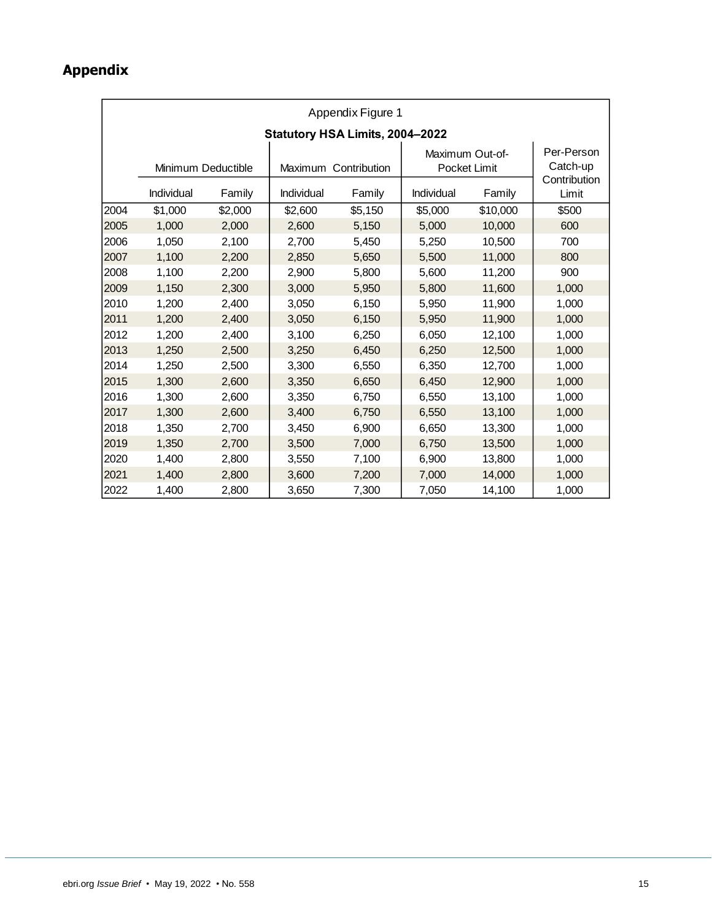## <span id="page-14-0"></span>**Appendix**

|                                  | Appendix Figure 1 |                   |                                 |                               |                        |                                                 |       |
|----------------------------------|-------------------|-------------------|---------------------------------|-------------------------------|------------------------|-------------------------------------------------|-------|
|                                  |                   |                   | Statutory HSA Limits, 2004-2022 |                               |                        |                                                 |       |
| Minimum Deductible<br>Individual |                   | Individual        | Maximum Contribution<br>Family  | Maximum Out-of-<br>Individual | Pocket Limit<br>Family | Per-Person<br>Catch-up<br>Contribution<br>Limit |       |
| 2004                             | \$1,000           | Family<br>\$2,000 | \$2,600                         | \$5,150                       | \$5,000                | \$10,000                                        | \$500 |
| 2005                             | 1,000             | 2,000             | 2,600                           | 5,150                         | 5,000                  | 10,000                                          | 600   |
| 2006                             | 1,050             | 2,100             | 2,700                           | 5,450                         | 5,250                  | 10,500                                          | 700   |
| 2007                             | 1,100             | 2,200             | 2,850                           | 5,650                         | 5,500                  | 11,000                                          | 800   |
| 2008                             | 1,100             | 2,200             | 2,900                           | 5,800                         | 5,600                  | 11,200                                          | 900   |
| 2009                             | 1,150             | 2,300             | 3,000                           | 5,950                         | 5,800                  | 11,600                                          | 1,000 |
| 2010                             | 1,200             | 2,400             | 3,050                           | 6,150                         | 5,950                  | 11,900                                          | 1,000 |
| 2011                             | 1,200             | 2,400             | 3,050                           | 6,150                         | 5,950                  | 11,900                                          | 1,000 |
| 2012                             | 1,200             | 2,400             | 3,100                           | 6,250                         | 6,050                  | 12,100                                          | 1,000 |
| 2013                             | 1,250             | 2,500             | 3,250                           | 6,450                         | 6,250                  | 12,500                                          | 1,000 |
| 2014                             | 1,250             | 2,500             | 3,300                           | 6,550                         | 6,350                  | 12,700                                          | 1,000 |
| 2015                             | 1,300             | 2,600             | 3,350                           | 6,650                         | 6,450                  | 12,900                                          | 1,000 |
| 2016                             | 1,300             | 2,600             | 3,350                           | 6,750                         | 6,550                  | 13,100                                          | 1,000 |
| 2017                             | 1,300             | 2,600             | 3,400                           | 6,750                         | 6,550                  | 13,100                                          | 1,000 |
| 2018                             | 1,350             | 2,700             | 3,450                           | 6,900                         | 6,650                  | 13,300                                          | 1,000 |
| 2019                             | 1,350             | 2,700             | 3,500                           | 7,000                         | 6,750                  | 13,500                                          | 1,000 |
| 2020                             | 1,400             | 2,800             | 3,550                           | 7,100                         | 6,900                  | 13,800                                          | 1,000 |
| 2021                             | 1,400             | 2,800             | 3,600                           | 7,200                         | 7,000                  | 14,000                                          | 1,000 |
| 2022                             | 1,400             | 2,800             | 3,650                           | 7,300                         | 7,050                  | 14,100                                          | 1,000 |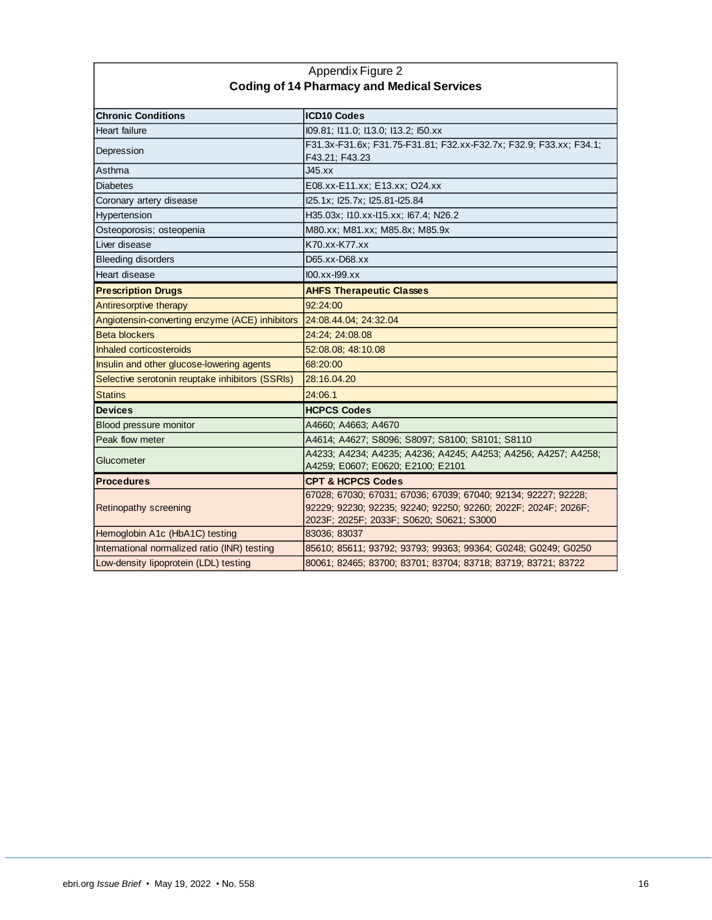| Appendix Figure 2                               |                                                                                                                                                                              |  |  |  |
|-------------------------------------------------|------------------------------------------------------------------------------------------------------------------------------------------------------------------------------|--|--|--|
|                                                 | <b>Coding of 14 Pharmacy and Medical Services</b>                                                                                                                            |  |  |  |
| <b>Chronic Conditions</b>                       | <b>ICD10 Codes</b>                                                                                                                                                           |  |  |  |
| Heart failure                                   | 109.81; 111.0; 113.0; 113.2; 150.xx                                                                                                                                          |  |  |  |
| Depression                                      | F31.3x-F31.6x; F31.75-F31.81; F32.xx-F32.7x; F32.9; F33.xx; F34.1;<br>F43.21; F43.23                                                                                         |  |  |  |
| Asthma                                          | J45.xx                                                                                                                                                                       |  |  |  |
| <b>Diabetes</b>                                 | E08.xx-E11.xx; E13.xx; O24.xx                                                                                                                                                |  |  |  |
| Coronary artery disease                         | I25.1x; I25.7x; I25.81-I25.84                                                                                                                                                |  |  |  |
| Hypertension                                    | H35.03x; I10.xx-I15.xx; I67.4; N26.2                                                                                                                                         |  |  |  |
| Osteoporosis; osteopenia                        | M80.xx; M81.xx; M85.8x; M85.9x                                                                                                                                               |  |  |  |
| Liver disease                                   | K70.xx-K77.xx                                                                                                                                                                |  |  |  |
| <b>Bleeding disorders</b>                       | D65.xx-D68.xx                                                                                                                                                                |  |  |  |
| Heart disease                                   | $100$ . xx- $199$ . xx                                                                                                                                                       |  |  |  |
| <b>Prescription Drugs</b>                       | <b>AHFS Therapeutic Classes</b>                                                                                                                                              |  |  |  |
| Antiresorptive therapy                          | 92:24:00                                                                                                                                                                     |  |  |  |
| Angiotensin-converting enzyme (ACE) inhibitors  | 24:08.44.04; 24:32.04                                                                                                                                                        |  |  |  |
| <b>Beta blockers</b>                            | 24:24; 24:08.08                                                                                                                                                              |  |  |  |
| Inhaled corticosteroids                         | 52:08.08; 48:10.08                                                                                                                                                           |  |  |  |
| Insulin and other glucose-lowering agents       | 68:20:00                                                                                                                                                                     |  |  |  |
| Selective serotonin reuptake inhibitors (SSRIs) | 28:16.04.20                                                                                                                                                                  |  |  |  |
| <b>Statins</b>                                  | 24:06.1                                                                                                                                                                      |  |  |  |
| <b>Devices</b>                                  | <b>HCPCS Codes</b>                                                                                                                                                           |  |  |  |
| Blood pressure monitor                          | A4660; A4663; A4670                                                                                                                                                          |  |  |  |
| Peak flow meter                                 | A4614; A4627; S8096; S8097; S8100; S8101; S8110                                                                                                                              |  |  |  |
| Glucometer                                      | A4233; A4234; A4235; A4236; A4245; A4253; A4256; A4257; A4258;<br>A4259; E0607; E0620; E2100; E2101                                                                          |  |  |  |
| <b>Procedures</b>                               | <b>CPT &amp; HCPCS Codes</b>                                                                                                                                                 |  |  |  |
| <b>Retinopathy screening</b>                    | 67028; 67030; 67031; 67036; 67039; 67040; 92134; 92227; 92228;<br>92229; 92230; 92235; 92240; 92250; 92260; 2022F; 2024F; 2026F;<br>2023F; 2025F; 2033F; S0620; S0621; S3000 |  |  |  |
| Hemoglobin A1c (HbA1C) testing                  | 83036; 83037                                                                                                                                                                 |  |  |  |
| International normalized ratio (INR) testing    | 85610; 85611; 93792; 93793; 99363; 99364; G0248; G0249; G0250                                                                                                                |  |  |  |
| Low-density lipoprotein (LDL) testing           | 80061; 82465; 83700; 83701; 83704; 83718; 83719; 83721; 83722                                                                                                                |  |  |  |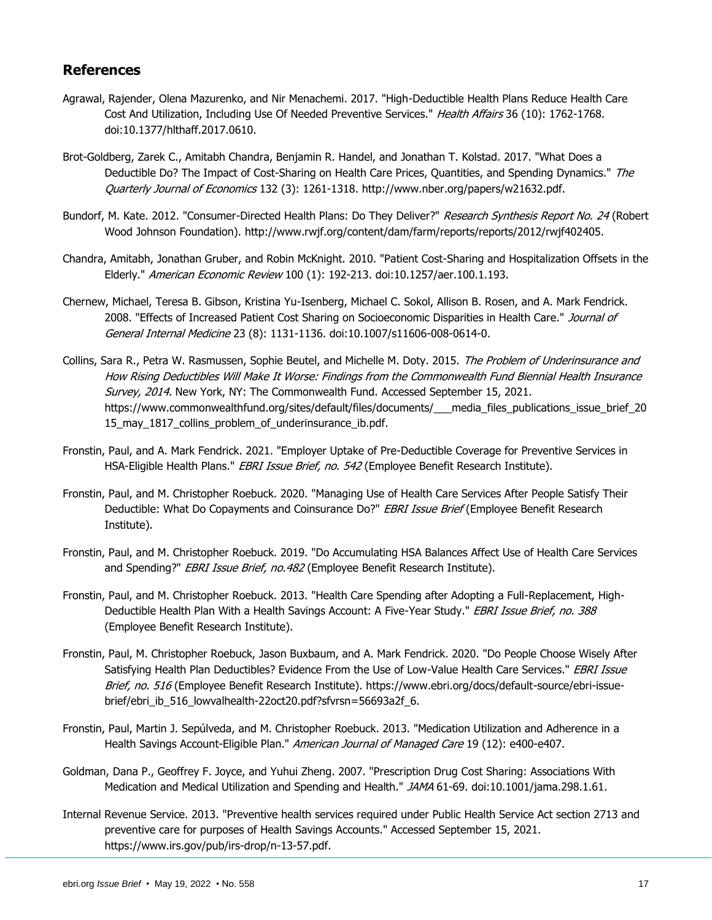## <span id="page-16-0"></span>**References**

- Agrawal, Rajender, Olena Mazurenko, and Nir Menachemi. 2017. "High-Deductible Health Plans Reduce Health Care Cost And Utilization, Including Use Of Needed Preventive Services." Health Affairs 36 (10): 1762-1768. doi:10.1377/hlthaff.2017.0610.
- Brot-Goldberg, Zarek C., Amitabh Chandra, Benjamin R. Handel, and Jonathan T. Kolstad. 2017. "What Does a Deductible Do? The Impact of Cost-Sharing on Health Care Prices, Quantities, and Spending Dynamics." The Quarterly Journal of Economics 132 (3): 1261-1318. http://www.nber.org/papers/w21632.pdf.
- Bundorf, M. Kate. 2012. "Consumer-Directed Health Plans: Do They Deliver?" Research Synthesis Report No. 24 (Robert Wood Johnson Foundation). http://www.rwjf.org/content/dam/farm/reports/reports/2012/rwjf402405.
- Chandra, Amitabh, Jonathan Gruber, and Robin McKnight. 2010. "Patient Cost-Sharing and Hospitalization Offsets in the Elderly." American Economic Review 100 (1): 192-213. doi:10.1257/aer.100.1.193.
- Chernew, Michael, Teresa B. Gibson, Kristina Yu-Isenberg, Michael C. Sokol, Allison B. Rosen, and A. Mark Fendrick. 2008. "Effects of Increased Patient Cost Sharing on Socioeconomic Disparities in Health Care." Journal of General Internal Medicine 23 (8): 1131-1136. doi:10.1007/s11606-008-0614-0.
- Collins, Sara R., Petra W. Rasmussen, Sophie Beutel, and Michelle M. Doty. 2015. The Problem of Underinsurance and How Rising Deductibles Will Make It Worse: Findings from the Commonwealth Fund Biennial Health Insurance Survey, 2014. New York, NY: The Commonwealth Fund. Accessed September 15, 2021. https://www.commonwealthfund.org/sites/default/files/documents/\_\_\_media\_files\_publications\_issue\_brief\_20 15\_may\_1817\_collins\_problem\_of\_underinsurance\_ib.pdf.
- Fronstin, Paul, and A. Mark Fendrick. 2021. "Employer Uptake of Pre-Deductible Coverage for Preventive Services in HSA-Eligible Health Plans." EBRI Issue Brief, no. 542 (Employee Benefit Research Institute).
- Fronstin, Paul, and M. Christopher Roebuck. 2020. "Managing Use of Health Care Services After People Satisfy Their Deductible: What Do Copayments and Coinsurance Do?" EBRI Issue Brief (Employee Benefit Research Institute).
- Fronstin, Paul, and M. Christopher Roebuck. 2019. "Do Accumulating HSA Balances Affect Use of Health Care Services and Spending?" EBRI Issue Brief, no. 482 (Employee Benefit Research Institute).
- Fronstin, Paul, and M. Christopher Roebuck. 2013. "Health Care Spending after Adopting a Full-Replacement, High-Deductible Health Plan With a Health Savings Account: A Five-Year Study." EBRI Issue Brief, no. 388 (Employee Benefit Research Institute).
- Fronstin, Paul, M. Christopher Roebuck, Jason Buxbaum, and A. Mark Fendrick. 2020. "Do People Choose Wisely After Satisfying Health Plan Deductibles? Evidence From the Use of Low-Value Health Care Services." EBRI Issue Brief, no. 516 (Employee Benefit Research Institute). https://www.ebri.org/docs/default-source/ebri-issuebrief/ebri\_ib\_516\_lowvalhealth-22oct20.pdf?sfvrsn=56693a2f\_6.
- Fronstin, Paul, Martin J. Sepúlveda, and M. Christopher Roebuck. 2013. "Medication Utilization and Adherence in a Health Savings Account-Eligible Plan." *American Journal of Managed Care* 19 (12): e400-e407.
- Goldman, Dana P., Geoffrey F. Joyce, and Yuhui Zheng. 2007. "Prescription Drug Cost Sharing: Associations With Medication and Medical Utilization and Spending and Health." JAMA 61-69. doi:10.1001/jama.298.1.61.
- Internal Revenue Service. 2013. "Preventive health services required under Public Health Service Act section 2713 and preventive care for purposes of Health Savings Accounts." Accessed September 15, 2021. https://www.irs.gov/pub/irs-drop/n-13-57.pdf.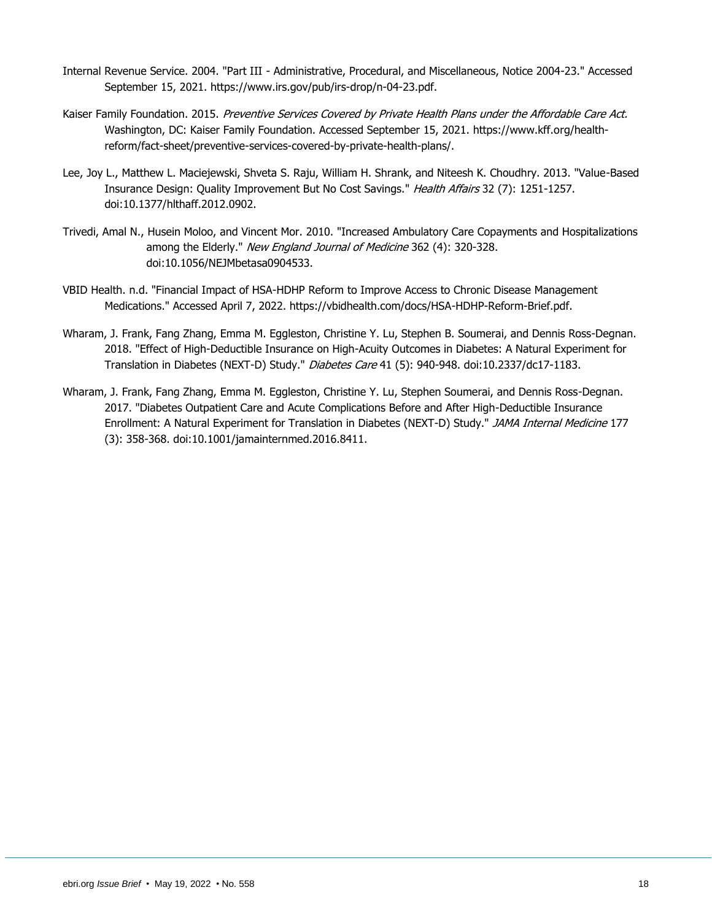- Internal Revenue Service. 2004. "Part III Administrative, Procedural, and Miscellaneous, Notice 2004-23." Accessed September 15, 2021. https://www.irs.gov/pub/irs-drop/n-04-23.pdf.
- Kaiser Family Foundation. 2015. Preventive Services Covered by Private Health Plans under the Affordable Care Act. Washington, DC: Kaiser Family Foundation. Accessed September 15, 2021. https://www.kff.org/healthreform/fact-sheet/preventive-services-covered-by-private-health-plans/.
- Lee, Joy L., Matthew L. Maciejewski, Shveta S. Raju, William H. Shrank, and Niteesh K. Choudhry. 2013. "Value-Based Insurance Design: Quality Improvement But No Cost Savings." Health Affairs 32 (7): 1251-1257. doi:10.1377/hlthaff.2012.0902.
- Trivedi, Amal N., Husein Moloo, and Vincent Mor. 2010. "Increased Ambulatory Care Copayments and Hospitalizations among the Elderly." New England Journal of Medicine 362 (4): 320-328. doi:10.1056/NEJMbetasa0904533.
- VBID Health. n.d. "Financial Impact of HSA-HDHP Reform to Improve Access to Chronic Disease Management Medications." Accessed April 7, 2022. https://vbidhealth.com/docs/HSA-HDHP-Reform-Brief.pdf.
- Wharam, J. Frank, Fang Zhang, Emma M. Eggleston, Christine Y. Lu, Stephen B. Soumerai, and Dennis Ross-Degnan. 2018. "Effect of High-Deductible Insurance on High-Acuity Outcomes in Diabetes: A Natural Experiment for Translation in Diabetes (NEXT-D) Study." *Diabetes Care* 41 (5): 940-948. doi:10.2337/dc17-1183.
- Wharam, J. Frank, Fang Zhang, Emma M. Eggleston, Christine Y. Lu, Stephen Soumerai, and Dennis Ross-Degnan. 2017. "Diabetes Outpatient Care and Acute Complications Before and After High-Deductible Insurance Enrollment: A Natural Experiment for Translation in Diabetes (NEXT-D) Study." JAMA Internal Medicine 177 (3): 358-368. doi:10.1001/jamainternmed.2016.8411.